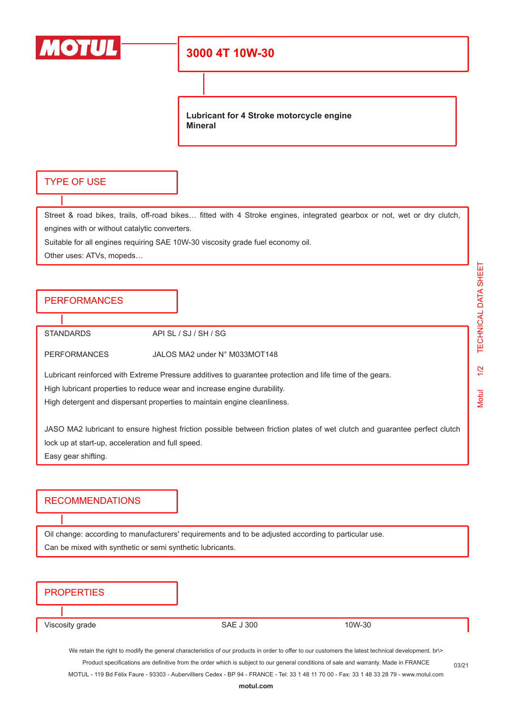

# **3000 4T 10W-30**

**Lubricant for 4 Stroke motorcycle engine Mineral**

#### TYPE OF USE

Street & road bikes, trails, off-road bikes… fitted with 4 Stroke engines, integrated gearbox or not, wet or dry clutch, engines with or without catalytic converters.

Suitable for all engines requiring SAE 10W-30 viscosity grade fuel economy oil.

Other uses: ATVs, mopeds…

## **PERFORMANCES**

STANDARDS API SL / SJ / SH / SG

PERFORMANCES JALOS MA2 under N° M033MOT148

Lubricant reinforced with Extreme Pressure additives to guarantee protection and life time of the gears.

High lubricant properties to reduce wear and increase engine durability.

High detergent and dispersant properties to maintain engine cleanliness.

JASO MA2 lubricant to ensure highest friction possible between friction plates of wet clutch and guarantee perfect clutch lock up at start-up, acceleration and full speed. Easy gear shifting.

#### RECOMMENDATIONS

Oil change: according to manufacturers' requirements and to be adjusted according to particular use. Can be mixed with synthetic or semi synthetic lubricants.

### **PROPERTIES**

Viscosity grade The SAE J 300 10W-30

We retain the right to modify the general characteristics of our products in order to offer to our customers the latest technical development. br\> Product specifications are definitive from the order which is subject to our general conditions of sale and warranty. Made in FRANCE

MOTUL - 119 Bd Félix Faure - 93303 - Aubervilliers Cedex - BP 94 - FRANCE - Tel: 33 1 48 11 70 00 - Fax: 33 1 48 33 28 79 - www.motul.com

03/21